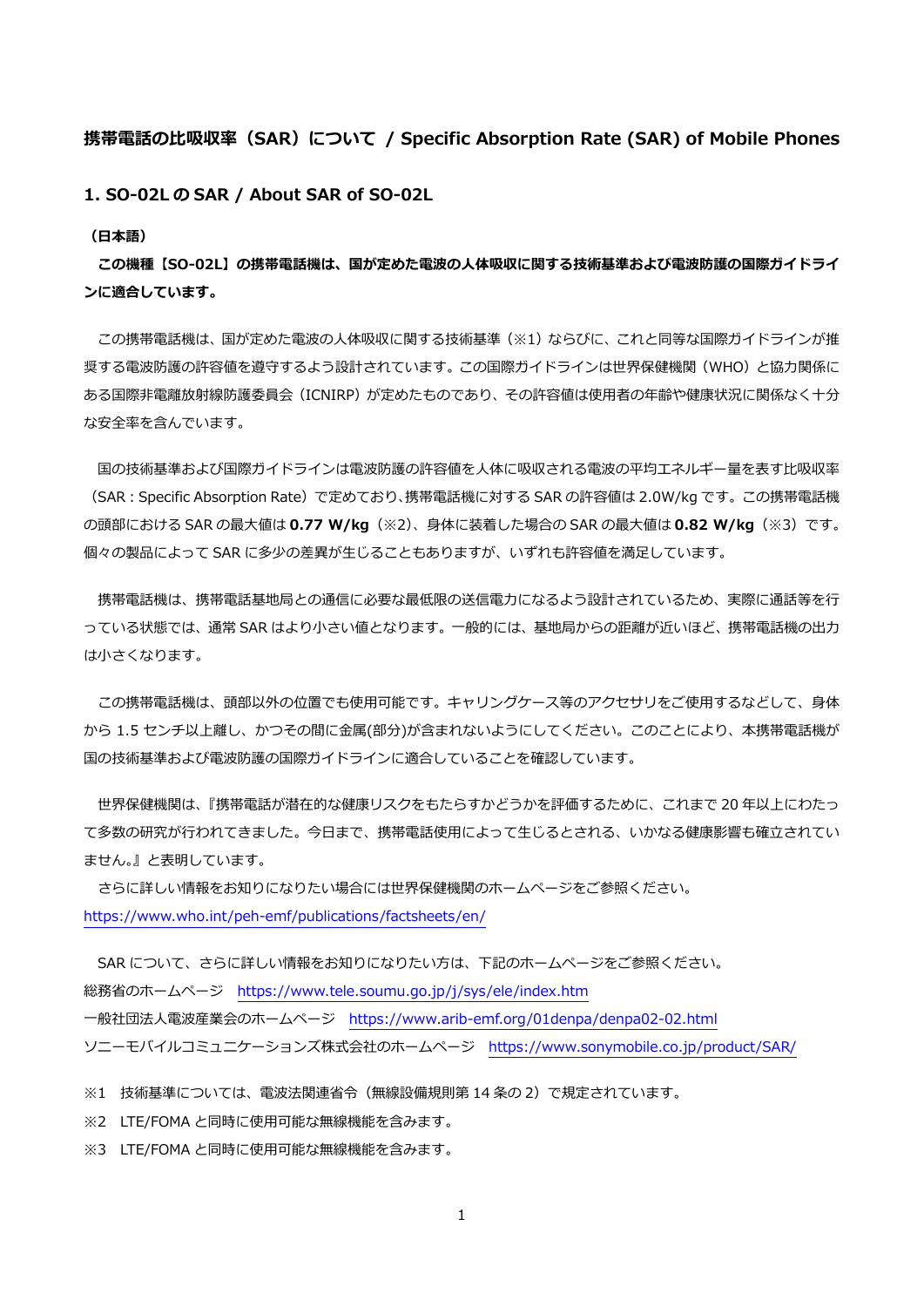## **携帯電話の⽐吸収率(SAR)について / Specific Absorption Rate (SAR) of Mobile Phones**

**1. SO-02L の SAR / About SAR of SO-02L** 

**(⽇本語)** 

**この機種【SO-02L】の携帯電話機は、国が定めた電波の⼈体吸収に関する技術基準および電波防護の国際ガイドライ ンに適合しています。** 

この携帯電話機は、国が定めた電波の人体吸収に関する技術基準(※1)ならびに、これと同等な国際ガイドラインが推 奨する電波防護の許容値を遵守するよう設計されています。この国際ガイドラインは世界保健機関(WHO)と協力関係に ある国際非電離放射線防護委員会 (ICNIRP) が定めたものであり、その許容値は使用者の年齢や健康状況に関係なく十分 な安全率を含んでいます。

国の技術基準および国際ガイドラインは電波防護の許容値を人体に吸収される電波の平均エネルギー量を表す比吸収率 (SAR︓Specific Absorption Rate)で定めており、携帯電話機に対する SAR の許容値は 2.0W/kg です。この携帯電話機 の頭部における SAR の最⼤値は **0.77 W/kg**(※2)、⾝体に装着した場合の SAR の最⼤値は **0.82 W/kg**(※3)です。 個々の製品によって SAR に多少の差異が⽣じることもありますが、いずれも許容値を満⾜しています。

携帯電話機は、携帯電話基地局との通信に必要な最低限の送信電力になるよう設計されているため、実際に通話等を行 っている状態では、通常 SAR はより小さい値となります。一般的には、基地局からの距離が近いほど、携帯電話機の出力 は⼩さくなります。

この携帯電話機は、頭部以外の位置でも使用可能です。キャリングケース等のアクセサリをご使用するなどして、身体 から 1.5 センチ以上離し、かつその間に⾦属(部分)が含まれないようにしてください。このことにより、本携帯電話機が 国の技術基準および電波防護の国際ガイドラインに適合していることを確認しています。

 世界保健機関は、『携帯電話が潜在的な健康リスクをもたらすかどうかを評価するために、これまで 20 年以上にわたっ て多数の研究が行われてきました。今日まで、携帯電話使用によって生じるとされる、いかなる健康影響も確立されてい ません。』と表明しています。

 さらに詳しい情報をお知りになりたい場合には世界保健機関のホームページをご参照ください。 https://www.who.int/peh-emf/publications/factsheets/en/

SAR について、さらに詳しい情報をお知りになりたい方は、下記のホームページをご参照ください。 総務省のホームページ https://www.tele.soumu.go.jp/j/sys/ele/index.htm ⼀般社団法⼈電波産業会のホームページ https://www.arib-emf.org/01denpa/denpa02-02.html ソニーモバイルコミュニケーションズ株式会社のホームページ https://www.sonymobile.co.jp/product/SAR/

※1 技術基準については、電波法関連省令(無線設備規則第 14 条の 2)で規定されています。

※2 LTE/FOMA と同時に使用可能な無線機能を含みます。

※3 LTE/FOMA と同時に使用可能な無線機能を含みます。

1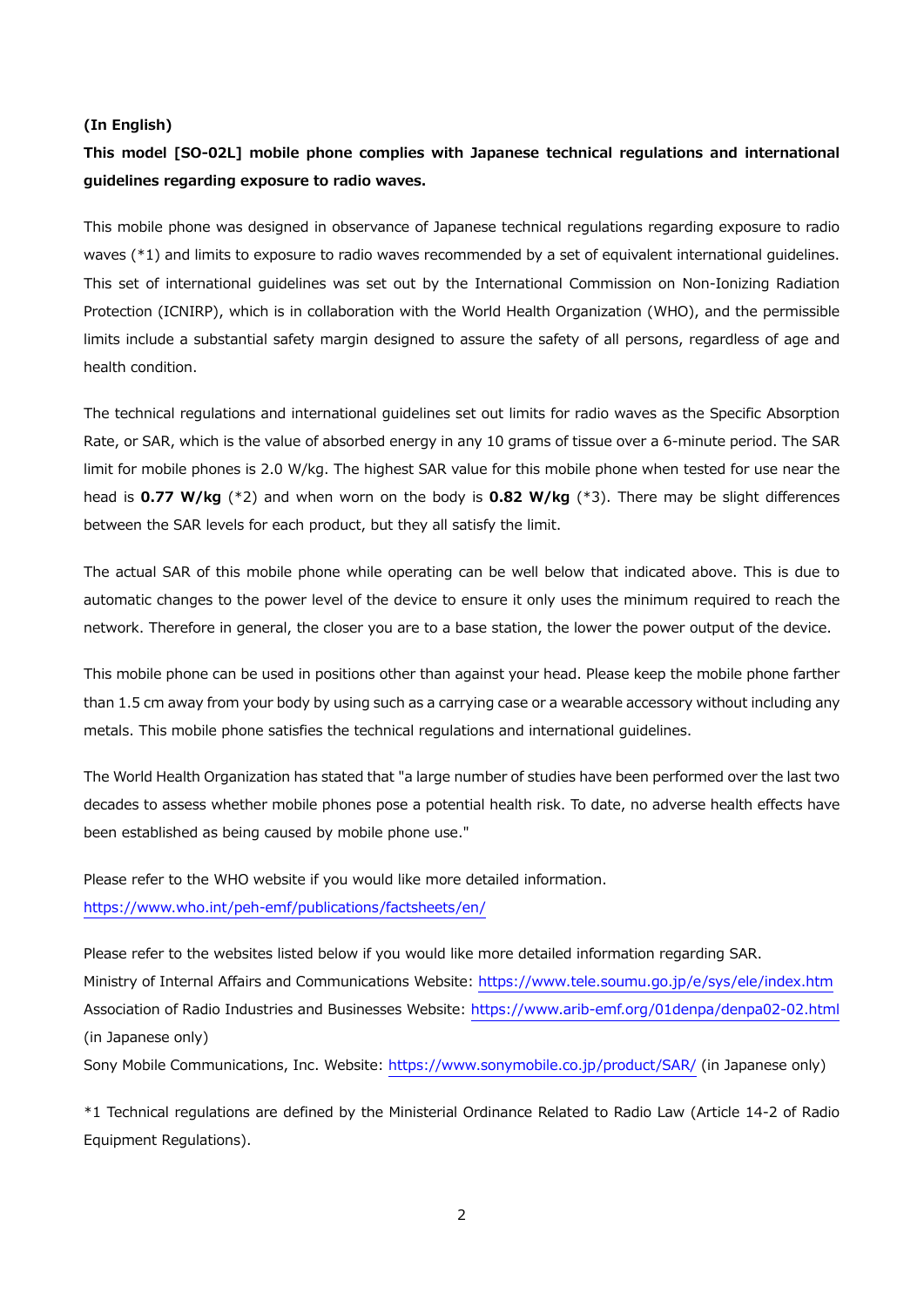#### **(In English)**

# **This model [SO-02L] mobile phone complies with Japanese technical regulations and international guidelines regarding exposure to radio waves.**

This mobile phone was designed in observance of Japanese technical regulations regarding exposure to radio waves (\*1) and limits to exposure to radio waves recommended by a set of equivalent international guidelines. This set of international guidelines was set out by the International Commission on Non-Ionizing Radiation Protection (ICNIRP), which is in collaboration with the World Health Organization (WHO), and the permissible limits include a substantial safety margin designed to assure the safety of all persons, regardless of age and health condition.

The technical regulations and international guidelines set out limits for radio waves as the Specific Absorption Rate, or SAR, which is the value of absorbed energy in any 10 grams of tissue over a 6-minute period. The SAR limit for mobile phones is 2.0 W/kg. The highest SAR value for this mobile phone when tested for use near the head is **0.77 W/kg** (\*2) and when worn on the body is **0.82 W/kg** (\*3). There may be slight differences between the SAR levels for each product, but they all satisfy the limit.

The actual SAR of this mobile phone while operating can be well below that indicated above. This is due to automatic changes to the power level of the device to ensure it only uses the minimum required to reach the network. Therefore in general, the closer you are to a base station, the lower the power output of the device.

This mobile phone can be used in positions other than against your head. Please keep the mobile phone farther than 1.5 cm away from your body by using such as a carrying case or a wearable accessory without including any metals. This mobile phone satisfies the technical regulations and international guidelines.

The World Health Organization has stated that "a large number of studies have been performed over the last two decades to assess whether mobile phones pose a potential health risk. To date, no adverse health effects have been established as being caused by mobile phone use."

Please refer to the WHO website if you would like more detailed information. https://www.who.int/peh-emf/publications/factsheets/en/

Please refer to the websites listed below if you would like more detailed information regarding SAR. Ministry of Internal Affairs and Communications Website: https://www.tele.soumu.go.jp/e/sys/ele/index.htm Association of Radio Industries and Businesses Website: https://www.arib-emf.org/01denpa/denpa02-02.html (in Japanese only)

Sony Mobile Communications, Inc. Website: https://www.sonymobile.co.jp/product/SAR/ (in Japanese only)

\*1 Technical regulations are defined by the Ministerial Ordinance Related to Radio Law (Article 14-2 of Radio Equipment Regulations).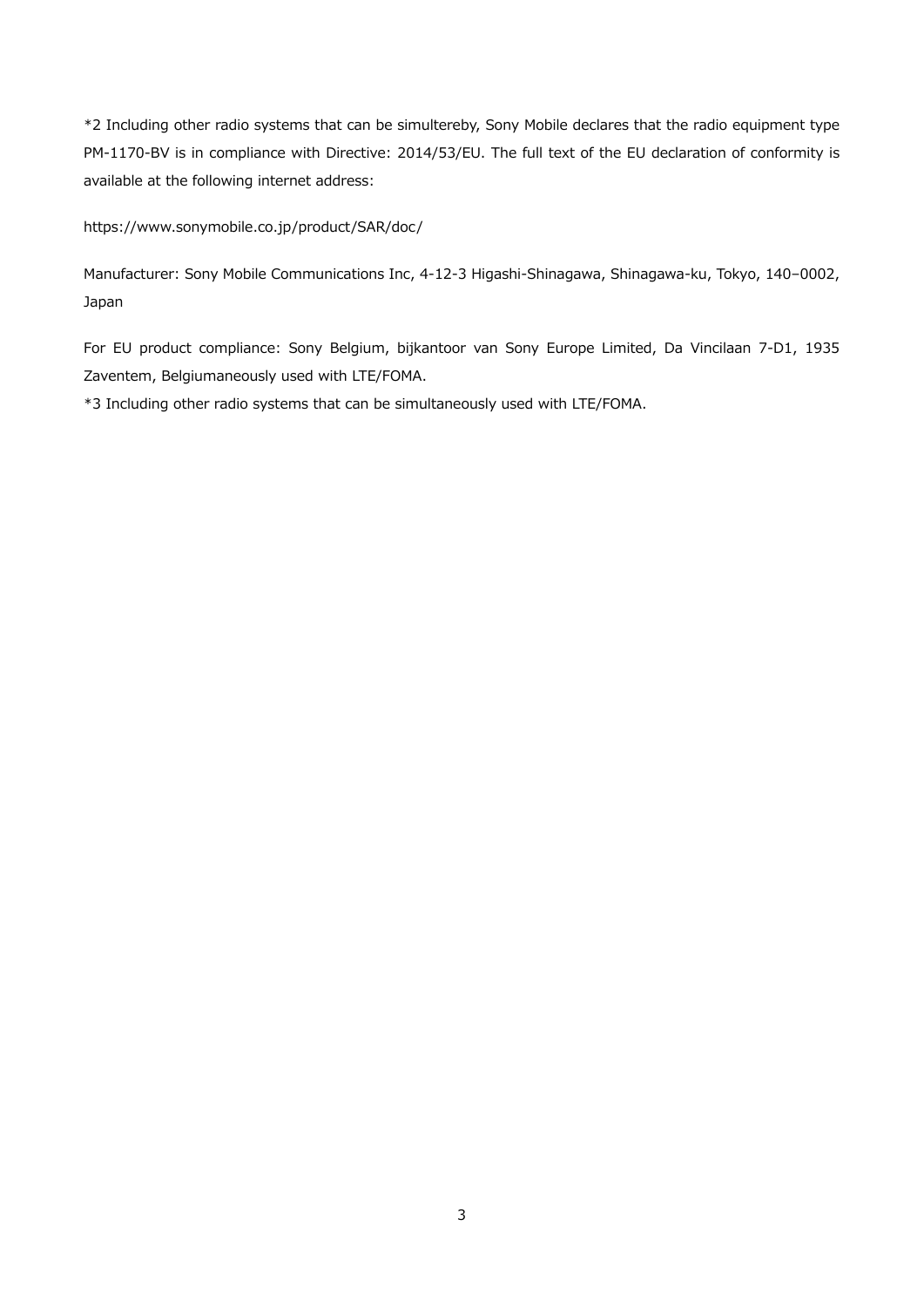\*2 Including other radio systems that can be simultereby, Sony Mobile declares that the radio equipment type PM-1170-BV is in compliance with Directive: 2014/53/EU. The full text of the EU declaration of conformity is available at the following internet address:

https://www.sonymobile.co.jp/product/SAR/doc/

Manufacturer: Sony Mobile Communications Inc, 4-12-3 Higashi-Shinagawa, Shinagawa-ku, Tokyo, 140–0002, Japan

For EU product compliance: Sony Belgium, bijkantoor van Sony Europe Limited, Da Vincilaan 7-D1, 1935 Zaventem, Belgiumaneously used with LTE/FOMA.

\*3 Including other radio systems that can be simultaneously used with LTE/FOMA.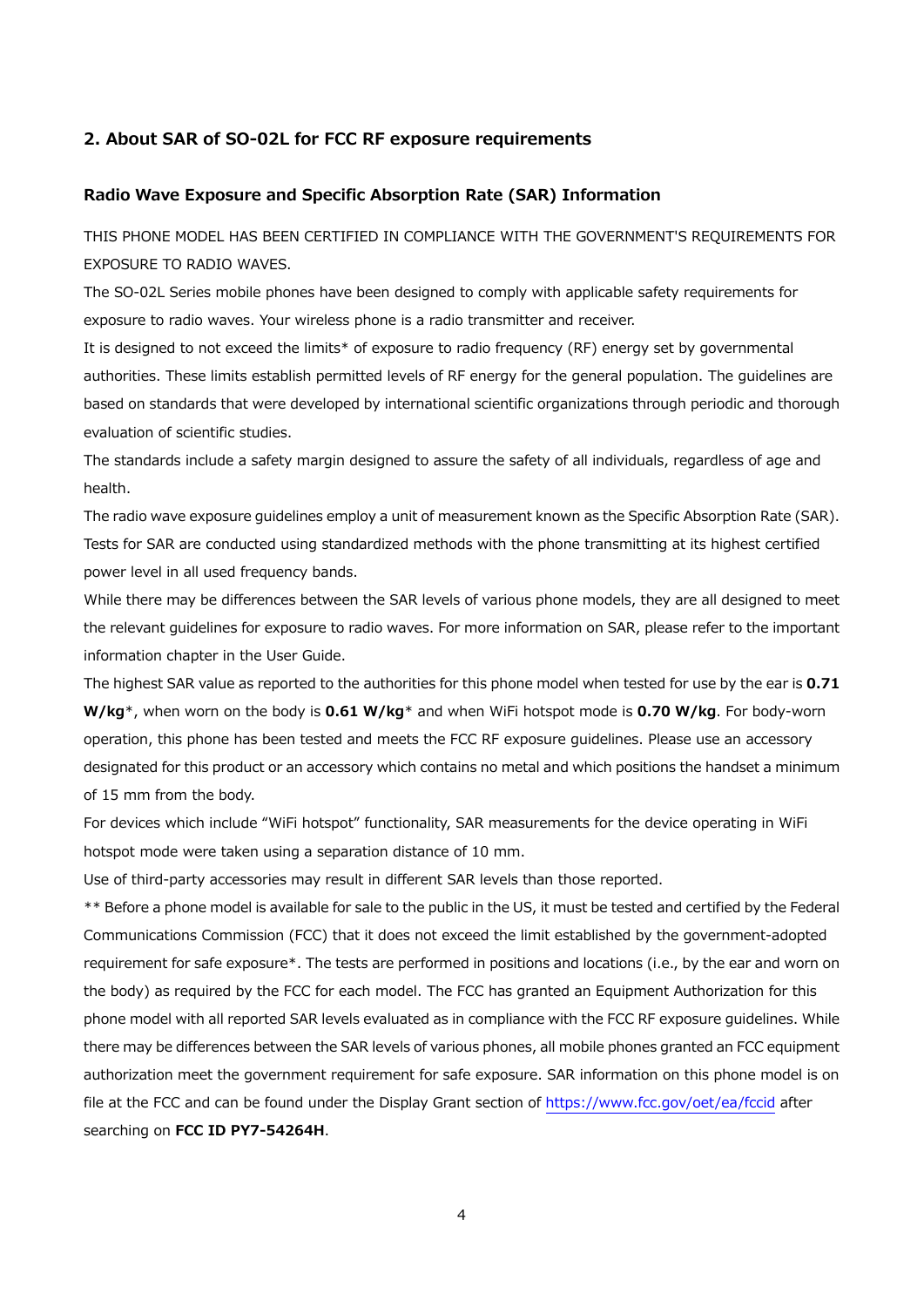#### **2. About SAR of SO-02L for FCC RF exposure requirements**

## **Radio Wave Exposure and Specific Absorption Rate (SAR) Information**

THIS PHONE MODEL HAS BEEN CERTIFIED IN COMPLIANCE WITH THE GOVERNMENT'S REQUIREMENTS FOR EXPOSURE TO RADIO WAVES.

The SO-02L Series mobile phones have been designed to comply with applicable safety requirements for exposure to radio waves. Your wireless phone is a radio transmitter and receiver.

It is designed to not exceed the limits\* of exposure to radio frequency (RF) energy set by governmental authorities. These limits establish permitted levels of RF energy for the general population. The guidelines are based on standards that were developed by international scientific organizations through periodic and thorough evaluation of scientific studies.

The standards include a safety margin designed to assure the safety of all individuals, regardless of age and health.

The radio wave exposure guidelines employ a unit of measurement known as the Specific Absorption Rate (SAR). Tests for SAR are conducted using standardized methods with the phone transmitting at its highest certified power level in all used frequency bands.

While there may be differences between the SAR levels of various phone models, they are all designed to meet the relevant guidelines for exposure to radio waves. For more information on SAR, please refer to the important information chapter in the User Guide.

The highest SAR value as reported to the authorities for this phone model when tested for use by the ear is **0.71 W/kg**\*, when worn on the body is **0.61 W/kg**\* and when WiFi hotspot mode is **0.70 W/kg**. For body-worn operation, this phone has been tested and meets the FCC RF exposure guidelines. Please use an accessory designated for this product or an accessory which contains no metal and which positions the handset a minimum of 15 mm from the body.

For devices which include "WiFi hotspot" functionality, SAR measurements for the device operating in WiFi hotspot mode were taken using a separation distance of 10 mm.

Use of third-party accessories may result in different SAR levels than those reported.

\*\* Before a phone model is available for sale to the public in the US, it must be tested and certified by the Federal Communications Commission (FCC) that it does not exceed the limit established by the government-adopted requirement for safe exposure\*. The tests are performed in positions and locations (i.e., by the ear and worn on the body) as required by the FCC for each model. The FCC has granted an Equipment Authorization for this phone model with all reported SAR levels evaluated as in compliance with the FCC RF exposure guidelines. While there may be differences between the SAR levels of various phones, all mobile phones granted an FCC equipment authorization meet the government requirement for safe exposure. SAR information on this phone model is on file at the FCC and can be found under the Display Grant section of https://www.fcc.gov/oet/ea/fccid after searching on **FCC ID PY7-54264H**.

4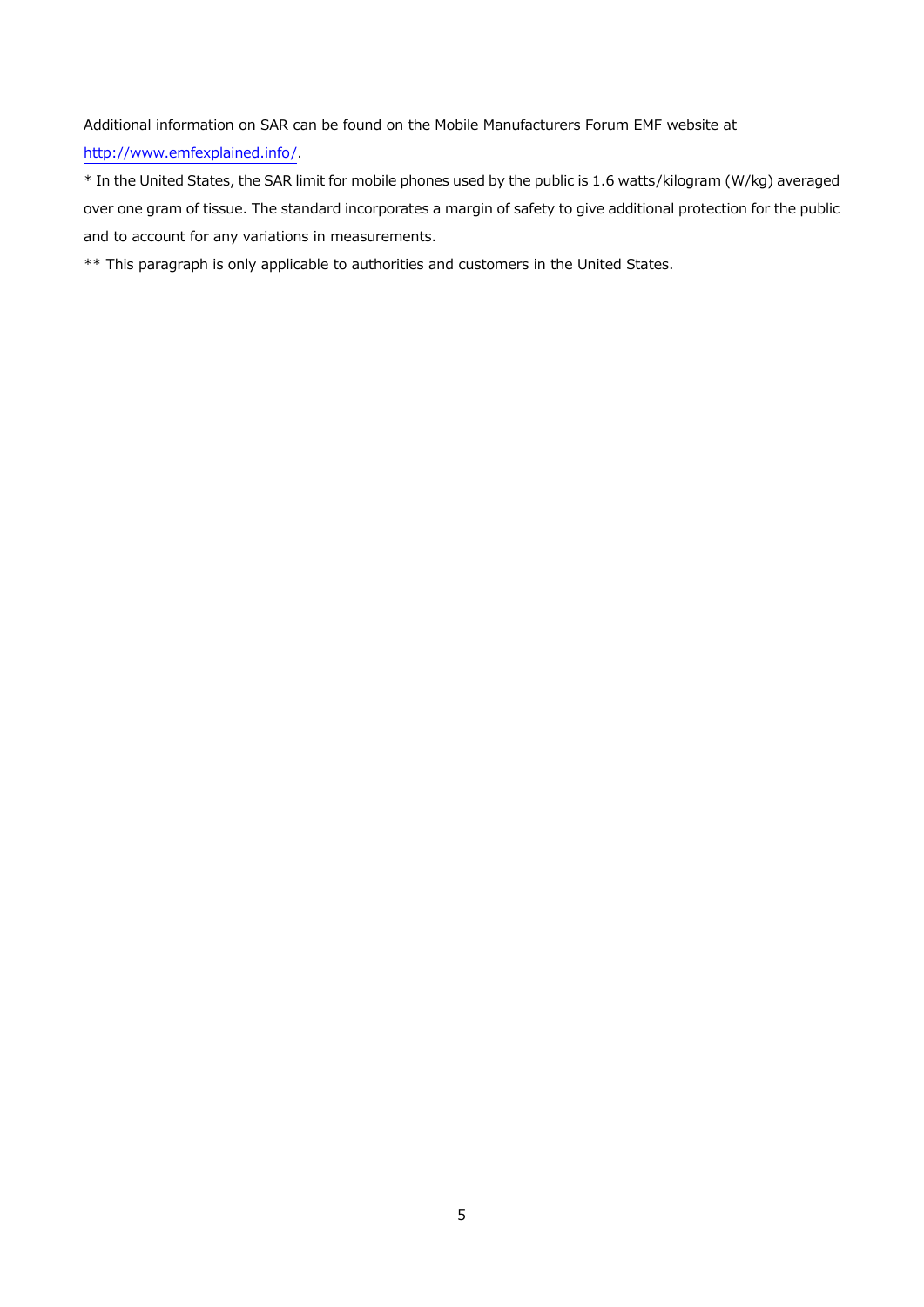Additional information on SAR can be found on the Mobile Manufacturers Forum EMF website at http://www.emfexplained.info/.

\* In the United States, the SAR limit for mobile phones used by the public is 1.6 watts/kilogram (W/kg) averaged over one gram of tissue. The standard incorporates a margin of safety to give additional protection for the public and to account for any variations in measurements.

\*\* This paragraph is only applicable to authorities and customers in the United States.